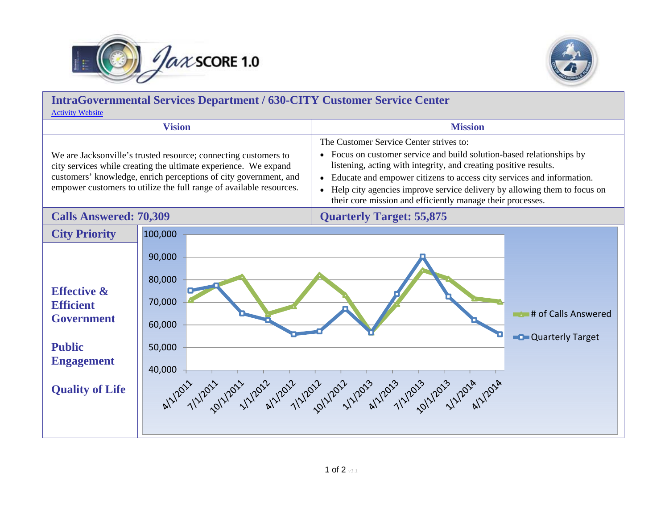



| <b>IntraGovernmental Services Department / 630-CITY Customer Service Center</b><br><b>Activity Website</b>                                                                                                                                                                    |                                                          |                                                                                                                                                                                                                                                                                                                                                                                                                      |  |
|-------------------------------------------------------------------------------------------------------------------------------------------------------------------------------------------------------------------------------------------------------------------------------|----------------------------------------------------------|----------------------------------------------------------------------------------------------------------------------------------------------------------------------------------------------------------------------------------------------------------------------------------------------------------------------------------------------------------------------------------------------------------------------|--|
| <b>Vision</b>                                                                                                                                                                                                                                                                 |                                                          | <b>Mission</b>                                                                                                                                                                                                                                                                                                                                                                                                       |  |
| We are Jacksonville's trusted resource; connecting customers to<br>city services while creating the ultimate experience. We expand<br>customers' knowledge, enrich perceptions of city government, and<br>empower customers to utilize the full range of available resources. |                                                          | The Customer Service Center strives to:<br>• Focus on customer service and build solution-based relationships by<br>listening, acting with integrity, and creating positive results.<br>Educate and empower citizens to access city services and information.<br>Help city agencies improve service delivery by allowing them to focus on<br>$\bullet$<br>their core mission and efficiently manage their processes. |  |
| <b>Calls Answered: 70,309</b>                                                                                                                                                                                                                                                 |                                                          | <b>Quarterly Target: 55,875</b>                                                                                                                                                                                                                                                                                                                                                                                      |  |
| <b>City Priority</b>                                                                                                                                                                                                                                                          | 100,000                                                  |                                                                                                                                                                                                                                                                                                                                                                                                                      |  |
| <b>Effective &amp;</b><br><b>Efficient</b><br><b>Government</b><br><b>Public</b><br><b>Engagement</b><br><b>Quality of Life</b>                                                                                                                                               | 90,000<br>80,000<br>70,000<br>60,000<br>50,000<br>40,000 | # of Calls Answered<br><b>Quarterly Target</b><br>al 1/2011 1/2012 1/2/2012 1/2/2012 1/2012 1/2013 1/2013 1/2013 1/2018 1/2018                                                                                                                                                                                                                                                                                       |  |